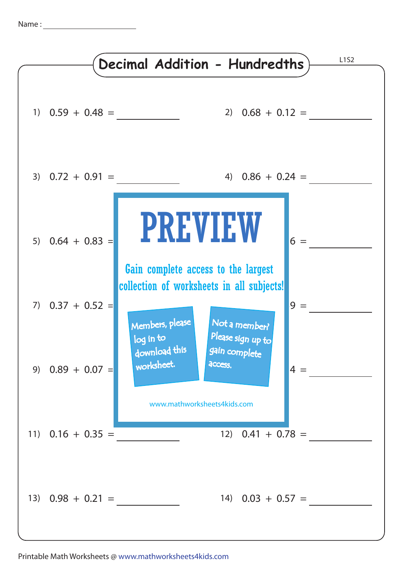